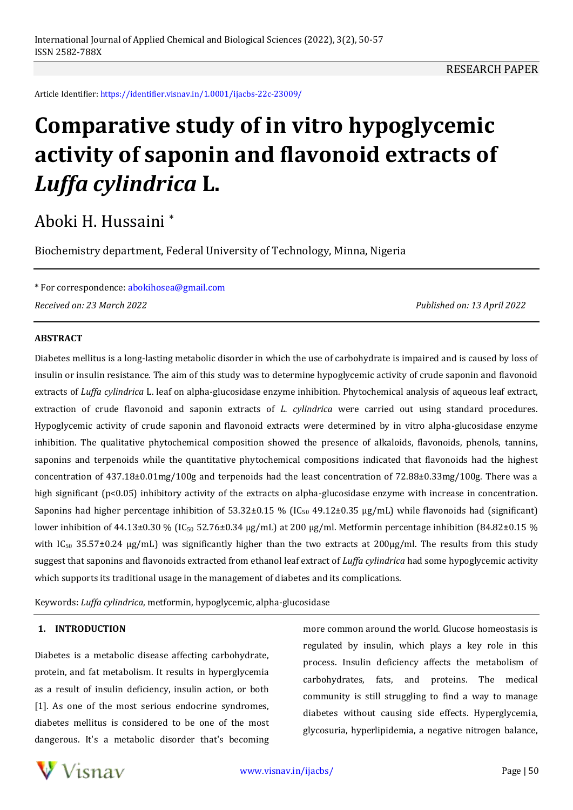Article Identifier: <https://identifier.visnav.in/1.0001/ijacbs-22c-23009/>

# **Comparative study of in vitro hypoglycemic activity of saponin and flavonoid extracts of**  *Luffa cylindrica* **L.**

## Aboki H. Hussaini \*

Biochemistry department, Federal University of Technology, Minna, Nigeria

\* For correspondence: [abokihosea@gmail.com](mailto:abokihosea@gmail.com) *Received on: 23 March 2022 Published on: 13 April 2022*

#### **ABSTRACT**

Diabetes mellitus is a long-lasting metabolic disorder in which the use of carbohydrate is impaired and is caused by loss of insulin or insulin resistance. The aim of this study was to determine hypoglycemic activity of crude saponin and flavonoid extracts of *Luffa cylindrica* L. leaf on alpha-glucosidase enzyme inhibition. Phytochemical analysis of aqueous leaf extract, extraction of crude flavonoid and saponin extracts of *L. cylindrica* were carried out using standard procedures. Hypoglycemic activity of crude saponin and flavonoid extracts were determined by in vitro alpha-glucosidase enzyme inhibition. The qualitative phytochemical composition showed the presence of alkaloids, flavonoids, phenols, tannins, saponins and terpenoids while the quantitative phytochemical compositions indicated that flavonoids had the highest concentration of 437.18±0.01mg/100g and terpenoids had the least concentration of 72.88±0.33mg/100g. There was a high significant (p<0.05) inhibitory activity of the extracts on alpha-glucosidase enzyme with increase in concentration. Saponins had higher percentage inhibition of  $53.32\pm0.15$  % (IC<sub>50</sub> 49.12 $\pm$ 0.35  $\mu$ g/mL) while flavonoids had (significant) lower inhibition of 44.13±0.30 % (IC<sub>50</sub> 52.76±0.34 μg/mL) at 200 μg/ml. Metformin percentage inhibition (84.82±0.15 % with  $IC_{50}$  35.57±0.24  $\mu$ g/mL) was significantly higher than the two extracts at 200 $\mu$ g/ml. The results from this study suggest that saponins and flavonoids extracted from ethanol leaf extract of *Luffa cylindrica* had some hypoglycemic activity which supports its traditional usage in the management of diabetes and its complications.

Keywords: *Luffa cylindrica*, metformin, hypoglycemic, alpha-glucosidase

#### **1. INTRODUCTION**

Diabetes is a metabolic disease affecting carbohydrate, protein, and fat metabolism. It results in hyperglycemia as a result of insulin deficiency, insulin action, or both [1]. As one of the most serious endocrine syndromes, diabetes mellitus is considered to be one of the most dangerous. It's a metabolic disorder that's becoming more common around the world. Glucose homeostasis is regulated by insulin, which plays a key role in this process. Insulin deficiency affects the metabolism of carbohydrates, fats, and proteins. The medical community is still struggling to find a way to manage diabetes without causing side effects. Hyperglycemia, glycosuria, hyperlipidemia, a negative nitrogen balance,

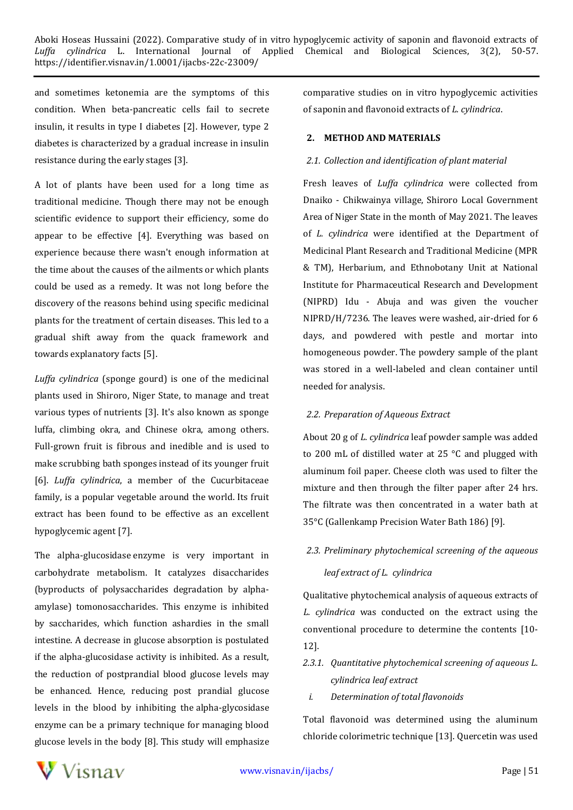and sometimes ketonemia are the symptoms of this condition. When beta-pancreatic cells fail to secrete insulin, it results in type I diabetes [2]. However, type 2 diabetes is characterized by a gradual increase in insulin resistance during the early stages [3].

A lot of plants have been used for a long time as traditional medicine. Though there may not be enough scientific evidence to support their efficiency, some do appear to be effective [4]. Everything was based on experience because there wasn't enough information at the time about the causes of the ailments or which plants could be used as a remedy. It was not long before the discovery of the reasons behind using specific medicinal plants for the treatment of certain diseases. This led to a gradual shift away from the quack framework and towards explanatory facts [5].

*Luffa cylindrica* (sponge gourd) is one of the medicinal plants used in Shiroro, Niger State, to manage and treat various types of nutrients [3]. It's also known as sponge luffa, climbing okra, and Chinese okra, among others. Full-grown fruit is fibrous and inedible and is used to make scrubbing bath sponges instead of its younger fruit [6]. *Luffa cylindrica*, a member of the Cucurbitaceae family, is a popular vegetable around the world. Its fruit extract has been found to be effective as an excellent hypoglycemic agent [7].

The alpha-glucosidase enzyme is very important in carbohydrate metabolism. It catalyzes disaccharides (byproducts of polysaccharides degradation by alphaamylase) tomonosaccharides. This enzyme is inhibited by saccharides, which function ashardies in the small intestine. A decrease in glucose absorption is postulated if the alpha-glucosidase activity is inhibited. As a result, the reduction of postprandial blood glucose levels may be enhanced. Hence, reducing post prandial glucose levels in the blood by inhibiting the alpha-glycosidase enzyme can be a primary technique for managing blood glucose levels in the body [8]. This study will emphasize comparative studies on in vitro hypoglycemic activities of saponin and flavonoid extracts of *L. cylindrica*.

#### **2. METHOD AND MATERIALS**

#### *2.1. Collection and identification of plant material*

Fresh leaves of *Luffa cylindrica* were collected from Dnaiko - Chikwainya village, Shiroro Local Government Area of Niger State in the month of May 2021. The leaves of *L. cylindrica* were identified at the Department of Medicinal Plant Research and Traditional Medicine (MPR & TM), Herbarium, and Ethnobotany Unit at National Institute for Pharmaceutical Research and Development (NIPRD) Idu - Abuja and was given the voucher NIPRD/H/7236. The leaves were washed, air-dried for 6 days, and powdered with pestle and mortar into homogeneous powder. The powdery sample of the plant was stored in a well-labeled and clean container until needed for analysis.

#### *2.2. Preparation of Aqueous Extract*

About 20 g of *L. cylindrica* leaf powder sample was added to 200 mL of distilled water at 25 °C and plugged with aluminum foil paper. Cheese cloth was used to filter the mixture and then through the filter paper after 24 hrs. The filtrate was then concentrated in a water bath at 35°C (Gallenkamp Precision Water Bath 186) [9].

#### *2.3. Preliminary phytochemical screening of the aqueous*

#### *leaf extract of L. cylindrica*

Qualitative phytochemical analysis of aqueous extracts of *L. cylindrica* was conducted on the extract using the conventional procedure to determine the contents [10- 12].

- *2.3.1. Quantitative phytochemical screening of aqueous L. cylindrica leaf extract* 
	- *i. Determination of total flavonoids*

Total flavonoid was determined using the aluminum chloride colorimetric technique [13]. Quercetin was used

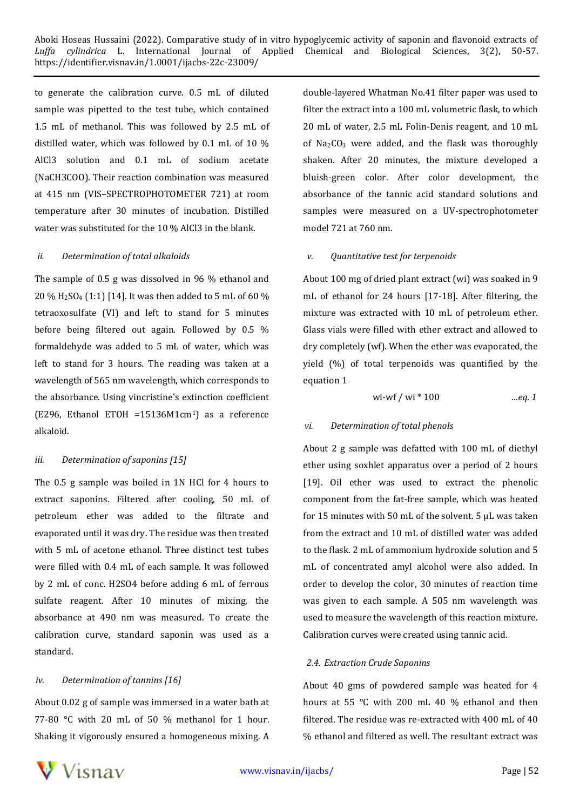to generate the calibration curve. 0.5 mL of diluted sample was pipetted to the test tube, which contained 1.5 mL of methanol. This was followed by 2.5 mL of distilled water, which was followed by 0.1 mL of 10 % AlCl3 solution and 0.1 mL of sodium acetate (NaCH3COO). Their reaction combination was measured at 415 nm (VIS–SPECTROPHOTOMETER 721) at room temperature after 30 minutes of incubation. Distilled water was substituted for the 10 % AlCl3 in the blank.

#### *ii. Determination of total alkaloids*

The sample of 0.5 g was dissolved in 96 % ethanol and 20 % H2SO<sup>4</sup> (1:1) [14]. It was then added to 5 mL of 60 % tetraoxosulfate (VI) and left to stand for 5 minutes before being filtered out again. Followed by 0.5 % formaldehyde was added to 5 mL of water, which was left to stand for 3 hours. The reading was taken at a wavelength of 565 nm wavelength, which corresponds to the absorbance. Using vincristine's extinction coefficient (E296, Ethanol ETOH =15136M1cm1) as a reference alkaloid.

#### *iii. Determination of saponins [15]*

The 0.5 g sample was boiled in 1N HCl for 4 hours to extract saponins. Filtered after cooling, 50 mL of petroleum ether was added to the filtrate and evaporated until it was dry. The residue was then treated with 5 mL of acetone ethanol. Three distinct test tubes were filled with 0.4 mL of each sample. It was followed by 2 mL of conc. H2SO4 before adding 6 mL of ferrous sulfate reagent. After 10 minutes of mixing, the absorbance at 490 nm was measured. To create the calibration curve, standard saponin was used as a standard.

#### *iv. Determination of tannins [16]*

About 0.02 g of sample was immersed in a water bath at 77-80 °C with 20 mL of 50 % methanol for 1 hour. Shaking it vigorously ensured a homogeneous mixing. A double-layered Whatman No.41 filter paper was used to filter the extract into a 100 mL volumetric flask, to which 20 mL of water, 2.5 mL Folin-Denis reagent, and 10 mL of  $Na<sub>2</sub>CO<sub>3</sub>$  were added, and the flask was thoroughly shaken. After 20 minutes, the mixture developed a bluish-green color. After color development, the absorbance of the tannic acid standard solutions and samples were measured on a UV-spectrophotometer model 721 at 760 nm.

#### *v. Quantitative test for terpenoids*

About 100 mg of dried plant extract (wi) was soaked in 9 mL of ethanol for 24 hours [17-18]. After filtering, the mixture was extracted with 10 mL of petroleum ether. Glass vials were filled with ether extract and allowed to dry completely (wf). When the ether was evaporated, the yield (%) of total terpenoids was quantified by the equation 1

$$
wi-wf / wi * 100
$$
 ...eq. 1

#### *vi. Determination of total phenols*

About 2 g sample was defatted with 100 mL of diethyl ether using soxhlet apparatus over a period of 2 hours [19]. Oil ether was used to extract the phenolic component from the fat-free sample, which was heated for 15 minutes with 50 mL of the solvent. 5 μL was taken from the extract and 10 mL of distilled water was added to the flask. 2 mL of ammonium hydroxide solution and 5 mL of concentrated amyl alcohol were also added. In order to develop the color, 30 minutes of reaction time was given to each sample. A 505 nm wavelength was used to measure the wavelength of this reaction mixture. Calibration curves were created using tannic acid.

#### *2.4. Extraction Crude Saponins*

About 40 gms of powdered sample was heated for 4 hours at 55 °C with 200 mL 40 % ethanol and then filtered. The residue was re-extracted with 400 mL of 40 % ethanol and filtered as well. The resultant extract was

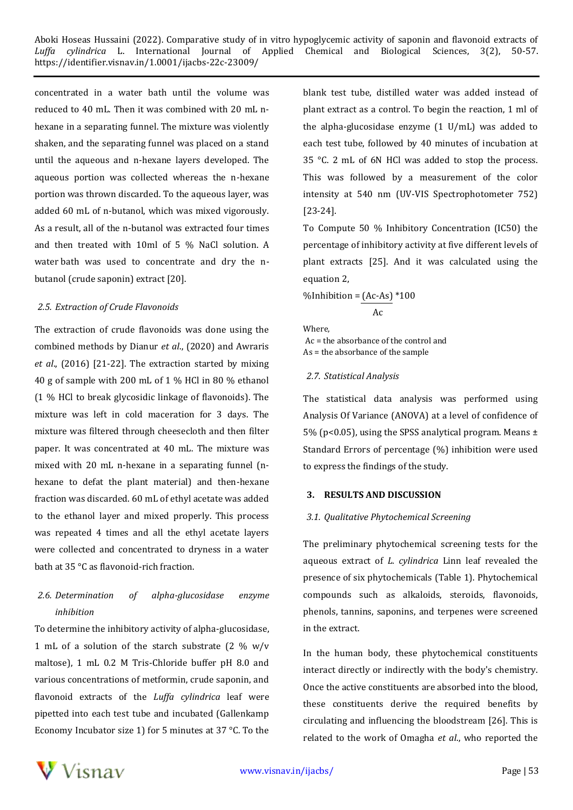concentrated in a water bath until the volume was reduced to 40 mL. Then it was combined with 20 mL nhexane in a separating funnel. The mixture was violently shaken, and the separating funnel was placed on a stand until the aqueous and n-hexane layers developed. The aqueous portion was collected whereas the n-hexane portion was thrown discarded. To the aqueous layer, was added 60 mL of n-butanol, which was mixed vigorously. As a result, all of the n-butanol was extracted four times and then treated with 10ml of 5 % NaCl solution. A water bath was used to concentrate and dry the nbutanol (crude saponin) extract [20].

#### *2.5. Extraction of Crude Flavonoids*

The extraction of crude flavonoids was done using the combined methods by Dianur *et al*., (2020) and Awraris *et al*., (2016) [21-22]. The extraction started by mixing 40 g of sample with 200 mL of 1 % HCl in 80 % ethanol (1 % HCl to break glycosidic linkage of flavonoids). The mixture was left in cold maceration for 3 days. The mixture was filtered through cheesecloth and then filter paper. It was concentrated at 40 mL. The mixture was mixed with 20 mL n-hexane in a separating funnel (nhexane to defat the plant material) and then-hexane fraction was discarded. 60 mL of ethyl acetate was added to the ethanol layer and mixed properly. This process was repeated 4 times and all the ethyl acetate layers were collected and concentrated to dryness in a water bath at 35 °C as flavonoid-rich fraction.

### *2.6. Determination of alpha-glucosidase enzyme inhibition*

To determine the inhibitory activity of alpha-glucosidase, 1 mL of a solution of the starch substrate (2 % w/v maltose), 1 mL 0.2 M Tris-Chloride buffer pH 8.0 and various concentrations of metformin, crude saponin, and flavonoid extracts of the *Luffa cylindrica* leaf were pipetted into each test tube and incubated (Gallenkamp Economy Incubator size 1) for 5 minutes at 37 °C. To the blank test tube, distilled water was added instead of plant extract as a control. To begin the reaction, 1 ml of the alpha-glucosidase enzyme (1 U/mL) was added to each test tube, followed by 40 minutes of incubation at 35 °C. 2 mL of 6N HCl was added to stop the process. This was followed by a measurement of the color intensity at 540 nm (UV-VIS Spectrophotometer 752) [23-24].

To Compute 50 % Inhibitory Concentration (IC50) the percentage of inhibitory activity at five different levels of plant extracts [25]. And it was calculated using the equation 2,

%Inhibition =  $(Ac-As)*100$ 

Ac

Where, Ac = the absorbance of the control and As = the absorbance of the sample

#### *2.7. Statistical Analysis*

The statistical data analysis was performed using Analysis Of Variance (ANOVA) at a level of confidence of 5% (p<0.05), using the SPSS analytical program. Means  $\pm$ Standard Errors of percentage (%) inhibition were used to express the findings of the study.

#### **3. RESULTS AND DISCUSSION**

#### *3.1. Qualitative Phytochemical Screening*

The preliminary phytochemical screening tests for the aqueous extract of *L. cylindrica* Linn leaf revealed the presence of six phytochemicals (Table 1). Phytochemical compounds such as alkaloids, steroids, flavonoids, phenols, tannins, saponins, and terpenes were screened in the extract.

In the human body, these phytochemical constituents interact directly or indirectly with the body's chemistry. Once the active constituents are absorbed into the blood, these constituents derive the required benefits by circulating and influencing the bloodstream [26]. This is related to the work of Omagha *et al*., who reported the

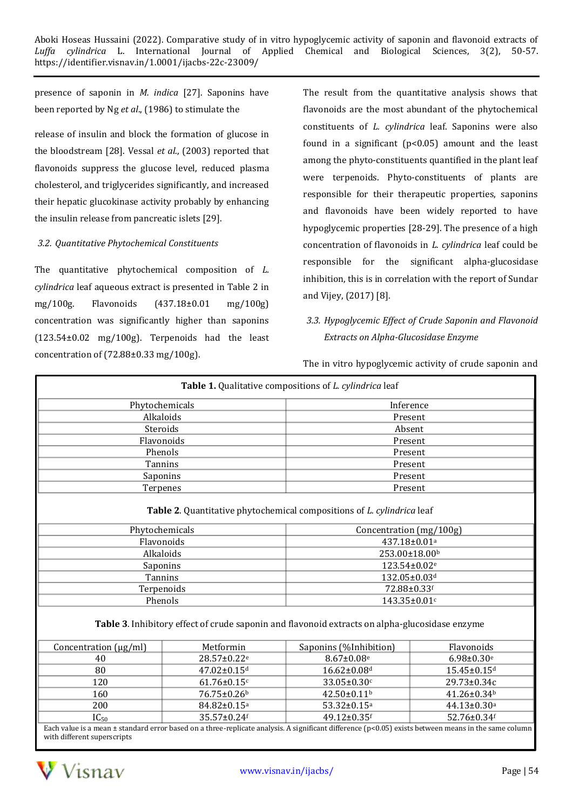presence of saponin in *M. indica* [27]. Saponins have been reported by Ng *et al*., (1986) to stimulate the

release of insulin and block the formation of glucose in the bloodstream [28]. Vessal *et al*., (2003) reported that flavonoids suppress the glucose level, reduced plasma cholesterol, and triglycerides significantly, and increased their hepatic glucokinase activity probably by enhancing the insulin release from pancreatic islets [29].

#### *3.2. Quantitative Phytochemical Constituents*

The quantitative phytochemical composition of *L. cylindrica* leaf aqueous extract is presented in Table 2 in mg/100g. Flavonoids (437.18±0.01 mg/100g) concentration was significantly higher than saponins (123.54±0.02 mg/100g). Terpenoids had the least concentration of (72.88±0.33 mg/100g).

The result from the quantitative analysis shows that flavonoids are the most abundant of the phytochemical constituents of *L. cylindrica* leaf. Saponins were also found in a significant (p<0.05) amount and the least among the phyto-constituents quantified in the plant leaf were terpenoids. Phyto-constituents of plants are responsible for their therapeutic properties, saponins and flavonoids have been widely reported to have hypoglycemic properties [28-29]. The presence of a high concentration of flavonoids in *L. cylindrica* leaf could be responsible for the significant alpha-glucosidase inhibition, this is in correlation with the report of Sundar and Vijey, (2017) [8].

*3.3. Hypoglycemic Effect of Crude Saponin and Flavonoid Extracts on Alpha-Glucosidase Enzyme* 

|  |  |  |  | The in vitro hypoglycemic activity of crude saponin and |  |
|--|--|--|--|---------------------------------------------------------|--|
|  |  |  |  |                                                         |  |

| Table 1. Qualitative compositions of <i>L. cylindrica</i> leaf                                                                                       |                         |                               |                              |  |  |  |  |
|------------------------------------------------------------------------------------------------------------------------------------------------------|-------------------------|-------------------------------|------------------------------|--|--|--|--|
| Phytochemicals                                                                                                                                       |                         | Inference                     |                              |  |  |  |  |
| Alkaloids                                                                                                                                            |                         | Present                       |                              |  |  |  |  |
| Steroids                                                                                                                                             |                         | Absent                        |                              |  |  |  |  |
| Flavonoids                                                                                                                                           |                         | Present                       |                              |  |  |  |  |
| Phenols                                                                                                                                              |                         | Present                       |                              |  |  |  |  |
| Tannins                                                                                                                                              |                         | Present                       |                              |  |  |  |  |
| Saponins                                                                                                                                             |                         | Present                       |                              |  |  |  |  |
| Terpenes                                                                                                                                             |                         | Present                       |                              |  |  |  |  |
| Table 2. Quantitative phytochemical compositions of L. cylindrica leaf                                                                               |                         |                               |                              |  |  |  |  |
| Phytochemicals                                                                                                                                       |                         |                               | Concentration (mg/100g)      |  |  |  |  |
| Flavonoids                                                                                                                                           |                         | 437.18±0.01 <sup>a</sup>      |                              |  |  |  |  |
| Alkaloids                                                                                                                                            |                         |                               | 253.00±18.00b                |  |  |  |  |
| Saponins                                                                                                                                             |                         |                               | 123.54±0.02 <sup>e</sup>     |  |  |  |  |
| Tannins                                                                                                                                              |                         | 132.05±0.03d                  |                              |  |  |  |  |
| Terpenoids                                                                                                                                           |                         | 72.88±0.33f                   |                              |  |  |  |  |
| Phenols                                                                                                                                              |                         | 143.35±0.01c                  |                              |  |  |  |  |
| Table 3. Inhibitory effect of crude saponin and flavonoid extracts on alpha-glucosidase enzyme                                                       |                         |                               |                              |  |  |  |  |
| Concentration (µg/ml)                                                                                                                                | Metformin               | Saponins (%Inhibition)        | Flavonoids                   |  |  |  |  |
| 40                                                                                                                                                   | 28.57±0.22 <sup>e</sup> | $8.67 \pm 0.08$ <sup>e</sup>  | $6.98 \pm 0.30$ <sup>e</sup> |  |  |  |  |
| 80                                                                                                                                                   | 47.02±0.15d             | 16.62±0.08d                   | 15.45±0.15d                  |  |  |  |  |
| 120                                                                                                                                                  | $61.76 \pm 0.15$ c      | 33.05±0.30c                   | 29.73±0.34c                  |  |  |  |  |
| 160                                                                                                                                                  | 76.75±0.26 <sup>b</sup> | 42.50±0.11 <sup>b</sup>       | 41.26±0.34b                  |  |  |  |  |
| 200                                                                                                                                                  | 84.82±0.15 <sup>a</sup> | $53.32 \pm 0.15$ <sup>a</sup> | 44.13±0.30 <sup>a</sup>      |  |  |  |  |
| $IC_{50}$                                                                                                                                            | 35.57±0.24f             | 49.12±0.35f                   | 52.76±0.34f                  |  |  |  |  |
| Each value is a mean ± standard error based on a three-replicate analysis. A significant difference (p<0.05) exists between means in the same column |                         |                               |                              |  |  |  |  |

with different superscripts

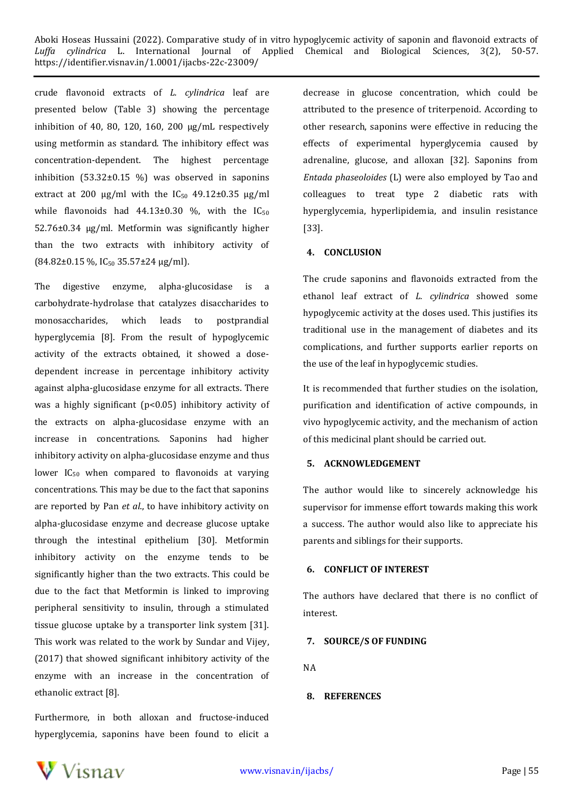crude flavonoid extracts of *L. cylindrica* leaf are presented below (Table 3) showing the percentage inhibition of 40, 80, 120, 160, 200 μg/mL respectively using metformin as standard. The inhibitory effect was concentration-dependent. The highest percentage inhibition (53.32±0.15 %) was observed in saponins extract at 200 μg/ml with the IC<sub>50</sub> 49.12±0.35 μg/ml while flavonoids had  $44.13\pm0.30$  %, with the  $IC_{50}$ 52.76±0.34 μg/ml. Metformin was significantly higher than the two extracts with inhibitory activity of  $(84.82\pm0.15\%$ , IC<sub>50</sub> 35.57 $\pm$ 24 μg/ml).

The digestive enzyme, alpha-glucosidase is a carbohydrate-hydrolase that catalyzes disaccharides to monosaccharides, which leads to postprandial hyperglycemia [8]. From the result of hypoglycemic activity of the extracts obtained, it showed a dosedependent increase in percentage inhibitory activity against alpha-glucosidase enzyme for all extracts. There was a highly significant (p<0.05) inhibitory activity of the extracts on alpha-glucosidase enzyme with an increase in concentrations. Saponins had higher inhibitory activity on alpha-glucosidase enzyme and thus lower  $IC_{50}$  when compared to flavonoids at varying concentrations. This may be due to the fact that saponins are reported by Pan *et al*., to have inhibitory activity on alpha-glucosidase enzyme and decrease glucose uptake through the intestinal epithelium [30]. Metformin inhibitory activity on the enzyme tends to be significantly higher than the two extracts. This could be due to the fact that Metformin is linked to improving peripheral sensitivity to insulin, through a stimulated tissue glucose uptake by a transporter link system [31]. This work was related to the work by Sundar and Vijey, (2017) that showed significant inhibitory activity of the enzyme with an increase in the concentration of ethanolic extract [8].

Furthermore, in both alloxan and fructose-induced hyperglycemia, saponins have been found to elicit a

decrease in glucose concentration, which could be attributed to the presence of triterpenoid. According to other research, saponins were effective in reducing the effects of experimental hyperglycemia caused by adrenaline, glucose, and alloxan [32]. Saponins from *Entada phaseoloides* (L) were also employed by Tao and colleagues to treat type 2 diabetic rats with hyperglycemia, hyperlipidemia, and insulin resistance [33].

#### **4. CONCLUSION**

The crude saponins and flavonoids extracted from the ethanol leaf extract of *L. cylindrica* showed some hypoglycemic activity at the doses used. This justifies its traditional use in the management of diabetes and its complications, and further supports earlier reports on the use of the leaf in hypoglycemic studies.

It is recommended that further studies on the isolation, purification and identification of active compounds, in vivo hypoglycemic activity, and the mechanism of action of this medicinal plant should be carried out.

#### **5. ACKNOWLEDGEMENT**

The author would like to sincerely acknowledge his supervisor for immense effort towards making this work a success. The author would also like to appreciate his parents and siblings for their supports.

#### **6. CONFLICT OF INTEREST**

The authors have declared that there is no conflict of interest.

#### **7. SOURCE/S OF FUNDING**

NA

#### **8. REFERENCES**

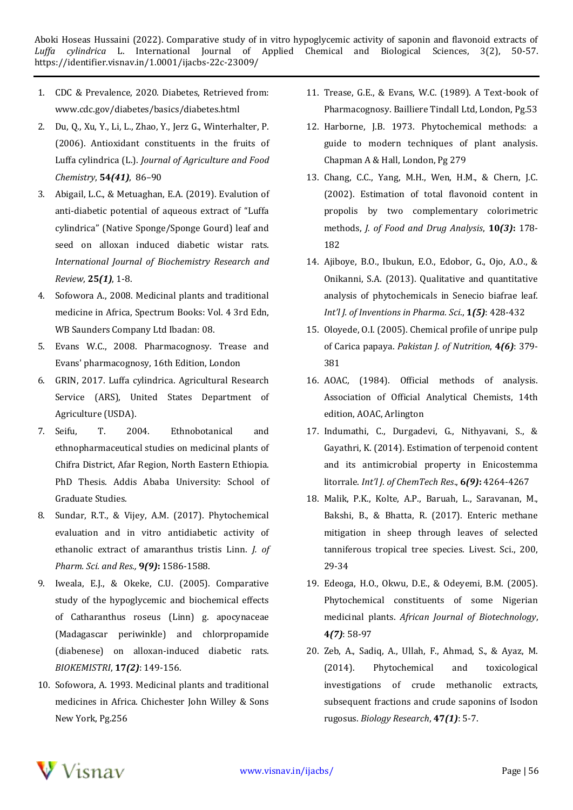- 1. CDC & Prevalence, 2020. Diabetes, Retrieved from: www.cdc.gov/diabetes/basics/diabetes.html
- 2. Du, Q., Xu, Y., Li, L., Zhao, Y., Jerz G., Winterhalter, P. (2006). Antioxidant constituents in the fruits of Luffa cylindrica (L.). *Journal of Agriculture and Food Chemistry*, **54***(41)*, 86–90
- 3. Abigail, L.C., & Metuaghan, E.A. (2019). Evalution of anti-diabetic potential of aqueous extract of "Luffa cylindrica" (Native Sponge/Sponge Gourd) leaf and seed on alloxan induced diabetic wistar rats. *International Journal of Biochemistry Research and Review*, **25***(1)*, 1-8.
- 4. Sofowora A., 2008. Medicinal plants and traditional medicine in Africa, Spectrum Books: Vol. 4 3rd Edn, WB Saunders Company Ltd Ibadan: 08.
- 5. Evans W.C., 2008. Pharmacognosy. Trease and Evans' pharmacognosy, 16th Edition, London
- 6. GRIN, 2017. Luffa cylindrica. Agricultural Research Service (ARS), United States Department of Agriculture (USDA).
- 7. Seifu, T. 2004. Ethnobotanical and ethnopharmaceutical studies on medicinal plants of Chifra District, Afar Region, North Eastern Ethiopia. PhD Thesis. Addis Ababa University: School of Graduate Studies.
- 8. Sundar, R.T., & Vijey, A.M. (2017). Phytochemical evaluation and in vitro antidiabetic activity of ethanolic extract of amaranthus tristis Linn. *J. of Pharm. Sci. and Res.,* **9***(9)***:** 1586-1588.
- 9. Iweala, E.J., & Okeke, C.U. (2005). Comparative study of the hypoglycemic and biochemical effects of Catharanthus roseus (Linn) g. apocynaceae (Madagascar periwinkle) and chlorpropamide (diabenese) on alloxan-induced diabetic rats. *BIOKEMISTRI*, **17***(2)*: 149-156.
- 10. Sofowora, A. 1993. Medicinal plants and traditional medicines in Africa. Chichester John Willey & Sons New York, Pg.256
- 11. Trease, G.E., & Evans, W.C. (1989). A Text-book of Pharmacognosy. Bailliere Tindall Ltd, London, Pg.53
- 12. Harborne, J.B. 1973. Phytochemical methods: a guide to modern techniques of plant analysis. Chapman A & Hall, London, Pg 279
- 13. Chang, C.C., Yang, M.H., Wen, H.M., & Chern, J.C. (2002). Estimation of total flavonoid content in propolis by two complementary colorimetric methods, *J. of Food and Drug Analysis*, **10***(3)***:** 178- 182
- 14. Ajiboye, B.O., Ibukun, E.O., Edobor, G., Ojo, A.O., & Onikanni, S.A. (2013). Qualitative and quantitative analysis of phytochemicals in Senecio biafrae leaf. *Int'l J. of Inventions in Pharma. Sci*., **1***(5)*: 428-432
- 15. Oloyede, O.I. (2005). Chemical profile of unripe pulp of Carica papaya. *Pakistan J. of Nutrition*, **4***(6)*: 379- 381
- 16. AOAC, (1984). Official methods of analysis. Association of Official Analytical Chemists, 14th edition, AOAC, Arlington
- 17. Indumathi, C., Durgadevi, G., Nithyavani, S., & Gayathri, K. (2014). Estimation of terpenoid content and its antimicrobial property in Enicostemma litorrale. *Int'l J. of ChemTech Res*., **6***(9)***:** 4264-4267
- 18. Malik, P.K., Kolte, A.P., Baruah, L., Saravanan, M., Bakshi, B., & Bhatta, R. (2017). Enteric methane mitigation in sheep through leaves of selected tanniferous tropical tree species. Livest. Sci., 200, 29-34
- 19. Edeoga, H.O., Okwu, D.E., & Odeyemi, B.M. (2005). Phytochemical constituents of some Nigerian medicinal plants. *African Journal of Biotechnology*, **4***(7)*: 58-97
- 20. Zeb, A., Sadiq, A., Ullah, F., Ahmad, S., & Ayaz, M. (2014). Phytochemical and toxicological investigations of crude methanolic extracts, subsequent fractions and crude saponins of Isodon rugosus. *Biology Research*, **47***(1)*: 5-7.